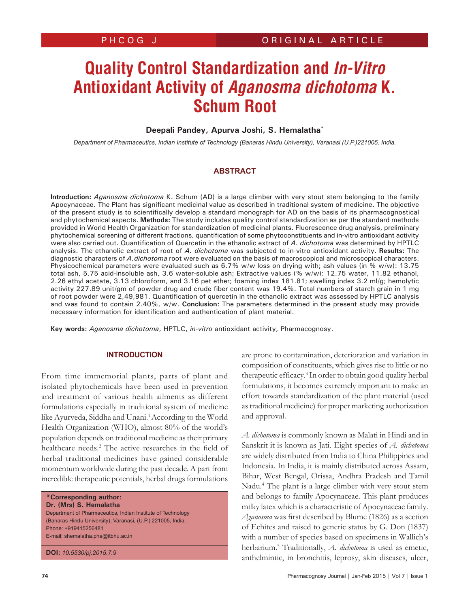# **Quality Control Standardization and In-Vitro Antioxidant Activity of Aganosma dichotoma K. Schum Root**

# **Deepali Pandey, Apurva Joshi, S. Hemalatha\***

*Department of Pharmaceutics, Indian Institute of Technology (Banaras Hindu University), Varanasi (U.P.)221005, India.*

#### **ABSTRACT**

**Introduction:** *Aganosma dichotoma* K. Schum (AD) is a large climber with very stout stem belonging to the family Apocynaceae. The Plant has significant medicinal value as described in traditional system of medicine. The objective of the present study is to scientifically develop a standard monograph for AD on the basis of its pharmacognostical and phytochemical aspects. **Methods:** The study includes quality control standardization as per the standard methods provided in World Health Organization for standardization of medicinal plants. Fluorescence drug analysis, preliminary phytochemical screening of different fractions, quantification of some phytoconstituents and in-vitro antioxidant activity were also carried out. Quantification of Quercetin in the ethanolic extract of *A. dichotoma* was determined by HPTLC analysis. The ethanolic extract of root of *A. dichotoma* was subjected to in-vitro antioxidant activity. **Results:** The diagnostic characters of *A.dichotoma* root were evaluated on the basis of macroscopical and microscopical characters. Physicochemical parameters were evaluated such as 6.7% w/w loss on drying with; ash values (in % w/w): 13.75 total ash, 5.75 acid-insoluble ash, 3.6 water-soluble ash; Extractive values (% w/w): 12.75 water, 11.82 ethanol, 2.26 ethyl acetate, 3.13 chloroform, and 3.16 pet ether; foaming index 181.81; swelling index 3.2 ml/g; hemolytic activity 227.89 unit/gm of powder drug and crude fiber content was 19.4%. Total numbers of starch grain in 1 mg of root powder were 2,49,981. Quantification of quercetin in the ethanolic extract was assessed by HPTLC analysis and was found to contain 2.40%, w/w. **Conclusion:** The parameters determined in the present study may provide necessary information for identification and authentication of plant material.

**Key words:** *Aganosma dichotoma*, HPTLC, *in-vitro* antioxidant activity, Pharmacognosy.

#### **INTRODUCTION**

From time immemorial plants, parts of plant and isolated phytochemicals have been used in prevention and treatment of various health ailments as different formulations especially in traditional system of medicine like Ayurveda, Siddha and Unani.<sup>1</sup> According to the World Health Organization (WHO), almost 80% of the world's population depends on traditional medicine as their primary healthcare needs.<sup>2</sup> The active researches in the field of herbal traditional medicines have gained considerable momentum worldwide during the past decade. A part from incredible therapeutic potentials, herbal drugs formulations

**\*Corresponding author: Dr. (Mrs) S. Hemalatha**  Department of Pharmaceutics, Indian Institute of Technology (Banaras Hindu University), Varanasi, (U.P.) 221005, India. Phone: +919415256481 E-mail: shemalatha.phe@itbhu.ac.in

**DOI:** *10.5530/pj.2015.7.9*

are prone to contamination, deterioration and variation in composition of constituents, which gives rise to little or no therapeutic efficacy.<sup>3</sup> In order to obtain good quality herbal formulations, it becomes extremely important to make an effort towards standardization of the plant material (used as traditional medicine) for proper marketing authorization and approval.

*A. dichotoma* is commonly known as Malati in Hindi and in Sanskrit it is known as Jati. Eight species of *A. dichotoma* are widely distributed from India to China Philippines and Indonesia. In India, it is mainly distributed across Assam, Bihar, West Bengal, Orissa, Andhra Pradesh and Tamil Nadu.4 The plant is a large climber with very stout stem and belongs to family Apocynaceae. This plant produces milky latex which is a characteristic of Apocynaceae family. *Aganosma* was first described by Blume (1826) as a section of Echites and raised to generic status by G. Don (1837) with a number of species based on specimens in Wallich's herbarium.5 Traditionally, *A. dichotoma* is used as emetic, anthelmintic, in bronchitis, leprosy, skin diseases, ulcer,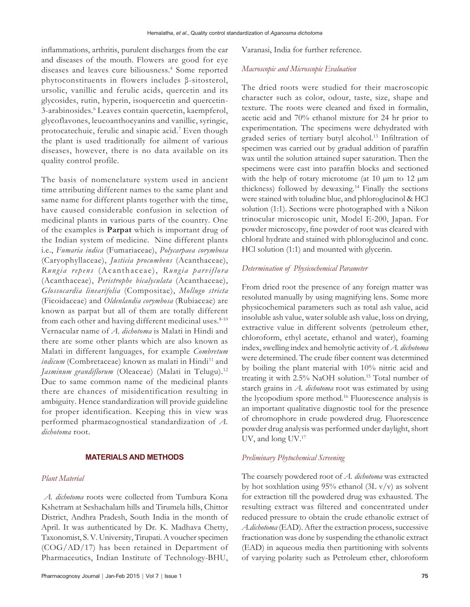inflammations, arthritis, purulent discharges from the ear and diseases of the mouth. Flowers are good for eye diseases and leaves cure biliousness.<sup>4</sup> Some reported phytoconstituents in flowers includes β-sitosterol, ursolic, vanillic and ferulic acids, quercetin and its glycosides, rutin, hyperin, isoquercetin and quercetin-3-arabinosides.<sup>6</sup> Leaves contain quercetin, kaempferol, glycoflavones, leucoanthocyanins and vanillic, syringic, protocatechuic, ferulic and sinapic acid.7 Even though the plant is used traditionally for ailment of various diseases, however, there is no data available on its quality control profile.

The basis of nomenclature system used in ancient time attributing different names to the same plant and same name for different plants together with the time, have caused considerable confusion in selection of medicinal plants in various parts of the country. One of the examples is **Parpat** which is important drug of the Indian system of medicine. Nine different plants i.e., *Fumaria indica* (Fumariaceae), *Polycarpaea corymbosa*  (Caryophyllaceae), *Justicia procumbens* (Acanthaceae), *Rungia repens* (Acanthaceae), *Rungia parviflora* (Acanthaceae), *Peristrophe bicalyculata* (Acanthaceae), *Glossocardia linearifolia* (Compositae), *Mollugo stricta* (Ficoidaceae) and *Oldenlandia corymbosa* (Rubiaceae) are known as parpat but all of them are totally different from each other and having different medicinal uses.<sup>8-10</sup> Vernacular name of *A. dichotoma* is Malati in Hindi and there are some other plants which are also known as Malati in different languages, for example *Combretum indicum* (Combretaceae) known as malati in Hindi<sup>11</sup> and *Jasminum grandiflorum* (Oleaceae) (Malati in Telugu).<sup>12</sup> Due to same common name of the medicinal plants there are chances of misidentification resulting in ambiguity. Hence standardization will provide guideline for proper identification. Keeping this in view was performed pharmacognostical standardization of *A. dichotoma* root.

#### **MATERIALS AND METHODS**

#### *Plant Material*

*A. dichotoma* roots were collected from Tumbura Kona Kshetram at Seshachalam hills and Tirumela hills, Chittor District, Andhra Pradesh, South India in the month of April. It was authenticated by Dr. K. Madhava Chetty, Taxonomist, S. V. University, Tirupati. A voucher specimen (COG/AD/17) has been retained in Department of Pharmaceutics, Indian Institute of Technology-BHU,

Varanasi, India for further reference.

# *Macroscopic and Microscopic Evaluation*

The dried roots were studied for their macroscopic character such as color, odour, taste, size, shape and texture. The roots were cleaned and fixed in formalin, acetic acid and 70% ethanol mixture for 24 hr prior to experimentation. The specimens were dehydrated with graded series of tertiary butyl alcohol.13 Infiltration of specimen was carried out by gradual addition of paraffin wax until the solution attained super saturation. Then the specimens were cast into paraffin blocks and sectioned with the help of rotary microtome (at 10  $\mu$ m to 12  $\mu$ m thickness) followed by dewaxing.14 Finally the sections were stained with toludine blue, and phloroglucinol & HCl solution (1:1). Sections were photographed with a Nikon trinocular microscopic unit, Model E-200, Japan. For powder microscopy, fine powder of root was cleared with chloral hydrate and stained with phloroglucinol and conc. HCl solution (1:1) and mounted with glycerin.

#### *Determination of Physicochemical Parameter*

From dried root the presence of any foreign matter was resoluted manually by using magnifying lens. Some more physicochemical parameters such as total ash value, acid insoluble ash value, water soluble ash value, loss on drying, extractive value in different solvents (petroleum ether, chloroform, ethyl acetate, ethanol and water), foaming index, swelling index and hemolytic activity of *A. dichotoma*  were determined. The crude fiber content was determined by boiling the plant material with 10% nitric acid and treating it with 2.5% NaOH solution.<sup>15</sup> Total number of starch grains in *A. dichotoma* root was estimated by using the lycopodium spore method.<sup>16</sup> Fluorescence analysis is an important qualitative diagnostic tool for the presence of chromophore in crude powdered drug. Fluorescence powder drug analysis was performed under daylight, short UV, and long UV.17

#### *Preliminary Phytochemical Screening*

The coarsely powdered root of *A. dichotoma* was extracted by hot soxhlation using 95% ethanol (3L  $v/v$ ) as solvent for extraction till the powdered drug was exhausted. The resulting extract was filtered and concentrated under reduced pressure to obtain the crude ethanolic extract of *A.dichotoma* (EAD). After the extraction process, successive fractionation was done by suspending the ethanolic extract (EAD) in aqueous media then partitioning with solvents of varying polarity such as Petroleum ether, chloroform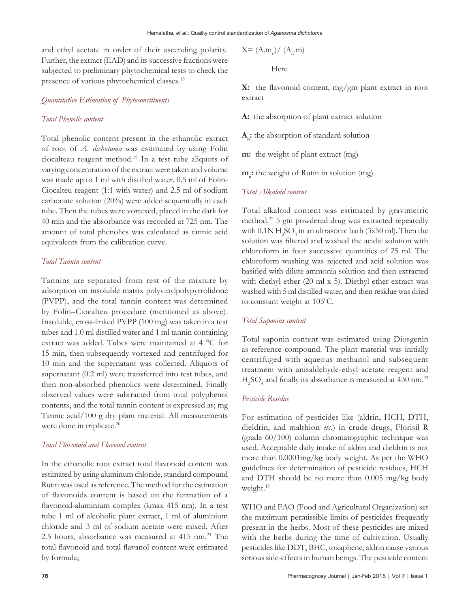and ethyl acetate in order of their ascending polarity. Further, the extract (EAD) and its successive fractions were subjected to preliminary phytochemical tests to check the presence of various phytochemical classes.18

#### *Quantitative Estimation of Phytoconstituents*

#### *Total Phenolic content*

Total phenolic content present in the ethanolic extract of root of *A. dichotoma* was estimated by using Folin ciocalteau reagent method.19 In a test tube aliquots of varying concentration of the extract were taken and volume was made up to 1 ml with distilled water. 0.5 ml of Folin-Ciocalteu reagent (1:1 with water) and 2.5 ml of sodium carbonate solution (20%) were added sequentially in each tube. Then the tubes were vortexed, placed in the dark for 40 min and the absorbance was recorded at 725 nm. The amount of total phenolics was calculated as tannic acid equivalents from the calibration curve.

#### *Total Tannin content*

Tannins are separated from rest of the mixture by adsorption on insoluble matrix polyvinylpolypyrrolidone (PVPP), and the total tannin content was determined by Folin–Ciocalteu procedure (mentioned as above). Insoluble, cross-linked PVPP (100 mg) was taken in a test tubes and 1.0 ml distilled water and 1 ml tannin containing extract was added. Tubes were maintained at 4 °C for 15 min, then subsequently vortexed and centrifuged for 10 min and the supernatant was collected. Aliquots of supernatant (0.2 ml) were transferred into test tubes, and then non-absorbed phenolics were determined. Finally observed values were subtracted from total polyphenol contents, and the total tannin content is expressed as; mg Tannic acid/100 g dry plant material. All measurements were done in triplicate.<sup>20</sup>

#### *Total Flavonoid and Flavonol content*

In the ethanolic root extract total flavonoid content was estimated by using aluminum chloride, standard compound Rutin was used as reference. The method for the estimation of flavonoids content is based on the formation of a flavonoid-aluminium complex (λmax 415 nm). In a test tube 1 ml of alcoholic plant extract, 1 ml of aluminium chloride and 3 ml of sodium acetate were mixed. After 2.5 hours, absorbance was measured at 415 nm.<sup>21</sup> The total flavonoid and total flavanol content were estimated by formula;

$$
X = (A.mo)/(Ao.m)
$$
  
Here

**X:** the flavonoid content, mg/gm plant extract in root extract

**A:** the absorption of plant extract solution

**Ao :** the absorption of standard solution

**m:** the weight of plant extract (mg)

**mo :** the weight of Rutin in solution (mg)

#### *Total Alkaloid content*

Total alkaloid content was estimated by gravimetric method.22 5 gm powdered drug was extracted repeatedly with  $0.1$ N  $H_2$ SO<sub>4</sub> in an ultrasonic bath (3x50 ml). Then the solution was filtered and washed the acidic solution with chloroform in four successive quantities of 25 ml. The chloroform washing was rejected and acid solution was basified with dilute ammonia solution and then extracted with diethyl ether (20 ml x 5). Diethyl ether extract was washed with 5 ml distilled water, and then residue was dried to constant weight at 105°C.

#### *Total Saponins content*

Total saponin content was estimated using Diosgenin as reference compound. The plant material was initially centrifuged with aqueous methanol and subsequent treatment with anisaldehyde-ethyl acetate reagent and  $H_2$ SO<sub>4</sub> and finally its absorbance is measured at 430 nm.<sup>23</sup>

#### *Pesticide Residue*

For estimation of pesticides like (aldrin, HCH, DTH, dieldrin, and malthion *etc*.) in crude drugs, Florisil R (grade 60/100) column chromatographic technique was used. Acceptable daily intake of aldrin and dieldrin is not more than 0.0001mg/kg body weight. As per the WHO guidelines for determination of pesticide residues, HCH and DTH should be no more than 0.005 mg/kg body weight.<sup>15</sup>

WHO and FAO (Food and Agricultural Organization) set the maximum permissible limits of pesticides frequently present in the herbs. Most of these pesticides are mixed with the herbs during the time of cultivation. Usually pesticides like DDT, BHC, toxaphene, aldrin cause various serious side-effects in human beings. The pesticide content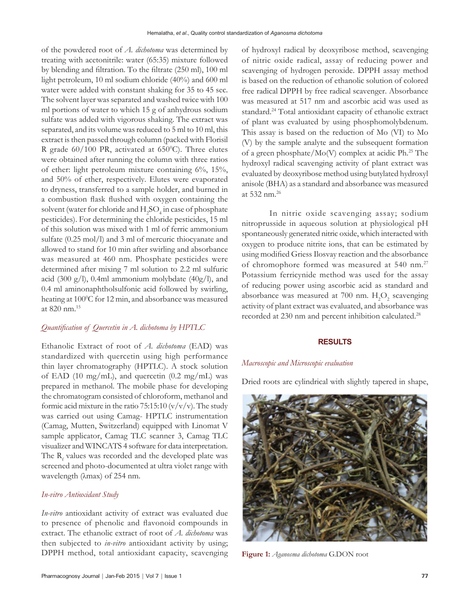of the powdered root of *A. dichotoma* was determined by treating with acetonitrile: water (65:35) mixture followed by blending and filtration. To the filtrate (250 ml), 100 ml light petroleum, 10 ml sodium chloride (40%) and 600 ml water were added with constant shaking for 35 to 45 sec. The solvent layer was separated and washed twice with 100 ml portions of water to which 15 g of anhydrous sodium sulfate was added with vigorous shaking. The extract was separated, and its volume was reduced to 5 ml to 10 ml, this extract is then passed through column (packed with Florisil R grade  $60/100$  PR, activated at  $650^{\circ}$ C). Three elutes were obtained after running the column with three ratios of ether: light petroleum mixture containing 6%, 15%, and 50% of ether, respectively. Elutes were evaporated to dryness, transferred to a sample holder, and burned in a combustion flask flushed with oxygen containing the solvent (water for chloride and  $\rm{H_2SO_4}$  in case of phosphate pesticides). For determining the chloride pesticides, 15 ml of this solution was mixed with 1 ml of ferric ammonium sulfate (0.25 mol/l) and 3 ml of mercuric thiocyanate and allowed to stand for 10 min after swirling and absorbance was measured at 460 nm. Phosphate pesticides were determined after mixing 7 ml solution to 2.2 ml sulfuric acid (300 g/l), 0.4ml ammonium molybdate (40g/l), and 0.4 ml aminonaphtholsulfonic acid followed by swirling, heating at 100°C for 12 min, and absorbance was measured at 820 nm.15

#### *Quantification of Quercetin in A. dichotoma by HPTLC*

Ethanolic Extract of root of *A. dichotoma* (EAD) was standardized with quercetin using high performance thin layer chromatography (HPTLC). A stock solution of EAD (10 mg/mL), and quercetin (0.2 mg/mL) was prepared in methanol. The mobile phase for developing the chromatogram consisted of chloroform, methanol and formic acid mixture in the ratio 75:15:10  $(v/v/v)$ . The study was carried out using Camag- HPTLC instrumentation (Camag, Mutten, Switzerland) equipped with Linomat V sample applicator, Camag TLC scanner 3, Camag TLC visualizer and WINCATS 4 software for data interpretation. The  $R_f$  values was recorded and the developed plate was screened and photo-documented at ultra violet range with wavelength (λmax) of 254 nm.

#### *In-vitro Antioxidant Study*

*In-vitro* antioxidant activity of extract was evaluated due to presence of phenolic and flavonoid compounds in extract. The ethanolic extract of root of *A. dichotoma* was then subjected to *in-vitro* antioxidant activity by using; DPPH method, total antioxidant capacity, scavenging of hydroxyl radical by deoxyribose method, scavenging of nitric oxide radical, assay of reducing power and scavenging of hydrogen peroxide. DPPH assay method is based on the reduction of ethanolic solution of colored free radical DPPH by free radical scavenger. Absorbance was measured at 517 nm and ascorbic acid was used as standard.24 Total antioxidant capacity of ethanolic extract of plant was evaluated by using phosphomolybdenum. This assay is based on the reduction of Mo (VI) to Mo (V) by the sample analyte and the subsequent formation of a green phosphate/Mo(V) complex at acidic Ph.<sup>25</sup> The hydroxyl radical scavenging activity of plant extract was evaluated by deoxyribose method using butylated hydroxyl anisole (BHA) as a standard and absorbance was measured at 532 nm.<sup>26</sup>

In nitric oxide scavenging assay; sodium nitroprusside in aqueous solution at physiological pH spontaneously generated nitric oxide, which interacted with oxygen to produce nitrite ions, that can be estimated by using modified Griess Ilosvay reaction and the absorbance of chromophore formed was measured at 540 nm.27 Potassium ferricynide method was used for the assay of reducing power using ascorbic acid as standard and absorbance was measured at 700 nm.  $H_2O_2$  scavenging activity of plant extract was evaluated, and absorbance was recorded at 230 nm and percent inhibition calculated.28

#### **RESULTS**

#### *Macroscopic and Microscopic evaluation*

Dried roots are cylindrical with slightly tapered in shape,



**Figure 1:** *Aganosma dichotoma* G.DON root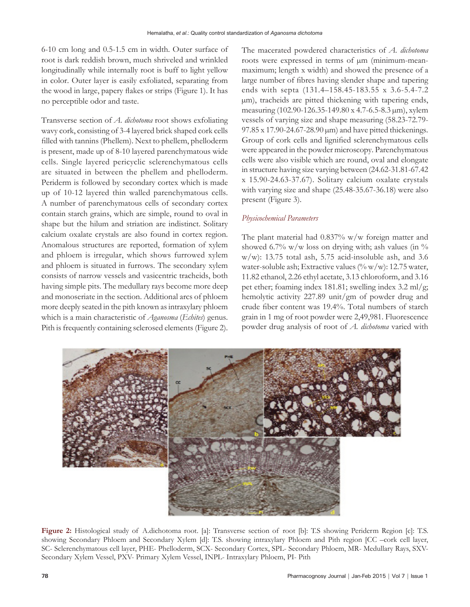6-10 cm long and 0.5-1.5 cm in width. Outer surface of root is dark reddish brown, much shriveled and wrinkled longitudinally while internally root is buff to light yellow in color. Outer layer is easily exfoliated, separating from the wood in large, papery flakes or strips (Figure 1). It has no perceptible odor and taste.

Transverse section of *A. dichotoma* root shows exfoliating wavy cork, consisting of 3-4 layered brick shaped cork cells filled with tannins (Phellem). Next to phellem, phelloderm is present, made up of 8-10 layered parenchymatous wide cells. Single layered pericyclic sclerenchymatous cells are situated in between the phellem and phelloderm. Periderm is followed by secondary cortex which is made up of 10-12 layered thin walled parenchymatous cells. A number of parenchymatous cells of secondary cortex contain starch grains, which are simple, round to oval in shape but the hilum and striation are indistinct. Solitary calcium oxalate crystals are also found in cortex region. Anomalous structures are reported, formation of xylem and phloem is irregular, which shows furrowed xylem and phloem is situated in furrows. The secondary xylem consists of narrow vessels and vasicentric tracheids, both having simple pits. The medullary rays become more deep and monoseriate in the section. Additional arcs of phloem more deeply seated in the pith known as intraxylary phloem which is a main characteristic of *Aganosma* (*Echites*) genus. Pith is frequently containing sclerosed elements (Figure 2).

The macerated powdered characteristics of *A. dichotoma* roots were expressed in terms of  $\mu$ m (minimum-meanmaximum; length x width) and showed the presence of a large number of fibres having slender shape and tapering ends with septa (131.4–158.45-183.55 x 3.6-5.4-7.2 µm), tracheids are pitted thickening with tapering ends, measuring (102.90-126.35-149.80 x 4.7-6.5-8.3 µm), xylem vessels of varying size and shape measuring (58.23-72.79- 97.85 x 17.90-24.67-28.90 µm) and have pitted thickenings. Group of cork cells and lignified sclerenchymatous cells were appeared in the powder microscopy. Parenchymatous cells were also visible which are round, oval and elongate in structure having size varying between (24.62-31.81-67.42 x 15.90-24.63-37.67). Solitary calcium oxalate crystals with varying size and shape (25.48-35.67-36.18) were also present (Figure 3).

#### *Physicochemical Parameters*

The plant material had 0.837% w/w foreign matter and showed 6.7% w/w loss on drying with; ash values (in  $\%$ w/w): 13.75 total ash, 5.75 acid-insoluble ash, and 3.6 water-soluble ash; Extractive values  $(\% w/w)$ : 12.75 water, 11.82 ethanol, 2.26 ethyl acetate, 3.13 chloroform, and 3.16 pet ether; foaming index 181.81; swelling index 3.2 ml/g; hemolytic activity 227.89 unit/gm of powder drug and crude fiber content was 19.4%. Total numbers of starch grain in 1 mg of root powder were 2,49,981. Fluorescence powder drug analysis of root of *A. dichotoma* varied with



**Figure 2:** Histological study of A.dichotoma root. [a]: Transverse section of root [b]: T.S showing Periderm Region [c]: T.S. showing Secondary Phloem and Secondary Xylem [d]: T.S. showing intraxylary Phloem and Pith region [CC –cork cell layer, SC- Sclerenchymatous cell layer, PHE- Phelloderm, SCX- Secondary Cortex, SPL- Secondary Phloem, MR- Medullary Rays, SXV-Secondary Xylem Vessel, PXV- Primary Xylem Vessel, INPL- Intraxylary Phloem, PI- Pith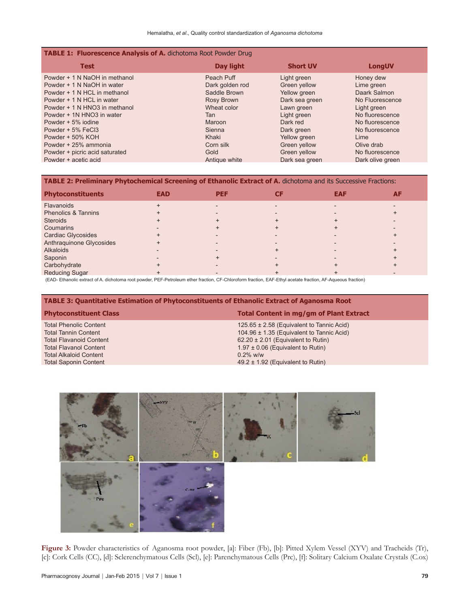| <b>TABLE 1: Fluorescence Analysis of A.</b> dichotoma Root Powder Drug |                 |                 |                  |  |  |  |  |
|------------------------------------------------------------------------|-----------------|-----------------|------------------|--|--|--|--|
| <b>Test</b>                                                            | Day light       | <b>Short UV</b> | <b>LongUV</b>    |  |  |  |  |
| Powder + 1 N NaOH in methanol                                          | Peach Puff      | Light green     | Honey dew        |  |  |  |  |
| Powder + 1 N NaOH in water                                             | Dark golden rod | Green yellow    | Lime green       |  |  |  |  |
| Powder + 1 N HCL in methanol                                           | Saddle Brown    | Yellow green    | Daark Salmon     |  |  |  |  |
| Powder + 1 N HCL in water                                              | Rosy Brown      | Dark sea green  | No Fluorescence  |  |  |  |  |
| Powder + 1 N HNO3 in methanol                                          | Wheat color     | Lawn green      | Light green      |  |  |  |  |
| Powder + 1N HNO3 in water                                              | Tan             | Light green     | No fluorescence  |  |  |  |  |
| Powder + 5% jodine                                                     | Maroon          | Dark red        | No fluorescence  |  |  |  |  |
| Powder + 5% FeCl3                                                      | Sienna          | Dark green      | No fluorescence  |  |  |  |  |
| Powder + 50% KOH                                                       | Khaki           | Yellow green    | Lime             |  |  |  |  |
| Powder + 25% ammonia                                                   | Corn silk       | Green yellow    | Olive drab       |  |  |  |  |
| Powder + picric acid saturated                                         | Gold            | Green yellow    | No fluorescence  |  |  |  |  |
| Powder + acetic acid                                                   | Antique white   | Dark sea green  | Dark olive green |  |  |  |  |

# **TABLE 2: Preliminary Phytochemical Screening of Ethanolic Extract of A.** dichotoma and its Successive Fractions:

| <b>Phytoconstituents</b>       | <b>EAD</b> | <b>PEF</b> | <b>EAF</b> | <b>AF</b> |
|--------------------------------|------------|------------|------------|-----------|
| <b>Flavanoids</b>              |            |            |            |           |
| <b>Phenolics &amp; Tannins</b> |            |            |            |           |
| <b>Steroids</b>                |            |            |            |           |
| Coumarins                      |            |            |            |           |
| Cardiac Glycosides             |            |            |            |           |
| Anthraquinone Glycosides       |            |            |            |           |
| <b>Alkaloids</b>               |            |            |            |           |
| Saponin                        |            |            |            |           |
| Carbohydrate                   |            |            |            |           |
| <b>Reducing Sugar</b>          |            |            |            |           |

(EAD- Ethanolic extract of A. dichotoma root powder, PEF-Petroleum ether fraction, CF-Chloroform fraction, EAF-Ethyl acetate fraction, AF-Aqueous fraction)

#### **TABLE 3: Quantitative Estimation of Phytoconstituents of Ethanolic Extract of Aganosma Root**

Total Alkaloid Content<br>Total Saponin Content

#### **Phytoconstituent Class Total Content in mg/gm of Plant Extract**

Total Phenolic Content 125.65 ± 2.58 (Equivalent to Tannic Acid)<br>Total Tannin Content 104.96 ± 1.35 (Equivalent to Tannic Acid) 104.96  $\pm$  1.35 (Equivalent to Tannic Acid) Total Flavanoid Content 62.20 ± 2.01 (Equivalent to Rutin) Total Flavanol Content 1.97 ± 0.06 (Equivalent to Rutin)<br>
Total Alkaloid Content 1.97 ± 0.08 (Equivalent to Rutin)  $49.2 \pm 1.92$  (Equivalent to Rutin)



**Figure 3:** Powder characteristics of Aganosma root powder, [a]: Fiber (Fb), [b]: Pitted Xylem Vessel (XYV) and Tracheids (Tr), [c]: Cork Cells (CC), [d]: Sclerenchymatous Cells (Scl), [e]: Parenchymatous Cells (Prc), [f]: Solitary Calcium Oxalate Crystals (C.ox)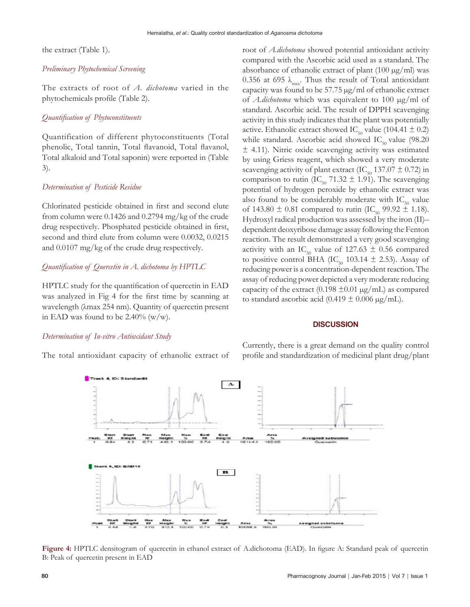the extract (Table 1).

#### *Preliminary Phytochemical Screening*

The extracts of root of *A. dichotoma* varied in the phytochemicals profile (Table 2).

### *Quantification of Phytoconstituents*

Quantification of different phytoconstituents (Total phenolic, Total tannin, Total flavanoid, Total flavanol, Total alkaloid and Total saponin) were reported in (Table 3).

#### *Determination of Pesticide Residue*

Chlorinated pesticide obtained in first and second elute from column were 0.1426 and 0.2794 mg/kg of the crude drug respectively. Phosphated pesticide obtained in first, second and third elute from column were 0.0032, 0.0215 and 0.0107 mg/kg of the crude drug respectively.

#### *Quantification of Quercetin in A. dichotoma by HPTLC*

HPTLC study for the quantification of quercetin in EAD was analyzed in Fig 4 for the first time by scanning at wavelength (λmax 254 nm). Quantity of quercetin present in EAD was found to be  $2.40\%$  (w/w).

#### *Determination of In-vitro Antioxidant Study*

The total antioxidant capacity of ethanolic extract of

root of *A.dichotoma* showed potential antioxidant activity compared with the Ascorbic acid used as a standard. The absorbance of ethanolic extract of plant  $(100 \mu g/ml)$  was 0.356 at 695  $\lambda_{\text{max}}$ . Thus the result of Total antioxidant capacity was found to be 57.75 µg/ml of ethanolic extract of *A.dichotoma* which was equivalent to 100 µg/ml of standard. Ascorbic acid. The result of DPPH scavenging activity in this study indicates that the plant was potentially active. Ethanolic extract showed IC<sub>50</sub> value (104.41  $\pm$  0.2) while standard. Ascorbic acid showed  $IC_{50}$  value (98.20 ± 4.11). Nitric oxide scavenging activity was estimated by using Griess reagent, which showed a very moderate scavenging activity of plant extract (IC<sub>50</sub> 137.07  $\pm$  0.72) in comparison to rutin (IC<sub>50</sub> 71.32  $\pm$  1.91). The scavenging potential of hydrogen peroxide by ethanolic extract was also found to be considerably moderate with  $IC_{50}$  value of 143.80  $\pm$  0.81 compared to rutin (IC<sub>50</sub> 99.92  $\pm$  1.18). Hydroxyl radical production was assessed by the iron (II)– dependent deoxyribose damage assay following the Fenton reaction. The result demonstrated a very good scavenging activity with an IC<sub>50</sub> value of 127.63  $\pm$  0.56 compared to positive control BHA (IC<sub>50</sub> 103.14  $\pm$  2.53). Assay of reducing power is a concentration-dependent reaction. The assay of reducing power depicted a very moderate reducing capacity of the extract (0.198  $\pm$ 0.01 µg/mL) as compared to standard ascorbic acid (0.419  $\pm$  0.006  $\mu$ g/mL).

#### **DISCUSSION**

Currently, there is a great demand on the quality control profile and standardization of medicinal plant drug/plant



**Figure 4:** HPTLC densitogram of quercetin in ethanol extract of A.dichotoma (EAD). In figure A: Standard peak of quercetin B: Peak of quercetin present in EAD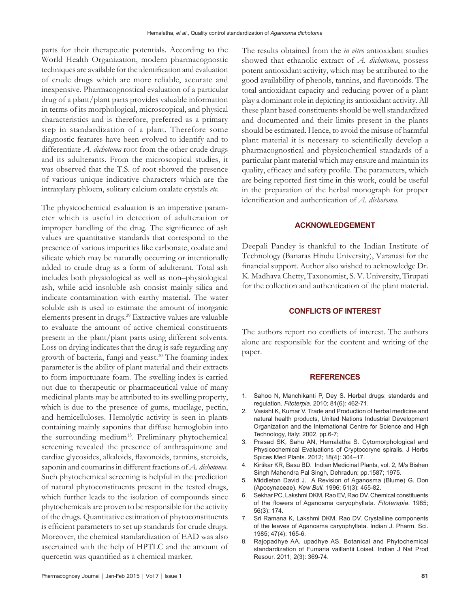parts for their therapeutic potentials. According to the World Health Organization, modern pharmacognostic techniques are available for the identification and evaluation of crude drugs which are more reliable, accurate and inexpensive. Pharmacognostical evaluation of a particular drug of a plant*/*plant parts provides valuable information in terms of its morphological, microscopical, and physical characteristics and is therefore, preferred as a primary step in standardization of a plant. Therefore some diagnostic features have been evolved to identify and to differentiate *A. dichotoma* root from the other crude drugs and its adulterants. From the microscopical studies, it was observed that the T.S. of root showed the presence of various unique indicative characters which are the intraxylary phloem, solitary calcium oxalate crystals *etc*.

The physicochemical evaluation is an imperative parameter which is useful in detection of adulteration or improper handling of the drug. The significance of ash values are quantitative standards that correspond to the presence of various impurities like carbonate, oxalate and silicate which may be naturally occurring or intentionally added to crude drug as a form of adulterant. Total ash includes both physiological as well as non–physiological ash, while acid insoluble ash consist mainly silica and indicate contamination with earthy material. The water soluble ash is used to estimate the amount of inorganic elements present in drugs.<sup>29</sup> Extractive values are valuable to evaluate the amount of active chemical constituents present in the plant*/*plant parts using different solvents. Loss on drying indicates that the drug is safe regarding any growth of bacteria, fungi and yeast.<sup>30</sup> The foaming index parameter is the ability of plant material and their extracts to form importunate foam. The swelling index is carried out due to therapeutic or pharmaceutical value of many medicinal plants may be attributed to its swelling property, which is due to the presence of gums, mucilage, pectin, and hemicelluloses. Hemolytic activity is seen in plants containing mainly saponins that diffuse hemoglobin into the surrounding medium<sup>15</sup>. Preliminary phytochemical screening revealed the presence of anthraquinone and cardiac glycosides, alkaloids, flavonoids, tannins, steroids, saponin and coumarins in different fractions of *A. dichotoma*. Such phytochemical screening is helpful in the prediction of natural phytoconstituents present in the tested drugs, which further leads to the isolation of compounds since phytochemicals are proven to be responsible for the activity of the drugs. Quantitative estimation of phytoconstituents is efficient parameters to set up standards for crude drugs. Moreover, the chemical standardization of EAD was also ascertained with the help of HPTLC and the amount of quercetin was quantified as a chemical marker.

The results obtained from the *in vitro* antioxidant studies showed that ethanolic extract of *A. dichotoma*, possess potent antioxidant activity, which may be attributed to the good availability of phenols, tannins, and flavonoids. The total antioxidant capacity and reducing power of a plant play a dominant role in depicting its antioxidant activity. All these plant based constituents should be well standardized and documented and their limits present in the plants should be estimated. Hence, to avoid the misuse of harmful plant material it is necessary to scientifically develop a pharmacognostical and physicochemical standards of a particular plant material which may ensure and maintain its quality, efficacy and safety profile. The parameters, which are being reported first time in this work, could be useful in the preparation of the herbal monograph for proper identification and authentication of *A. dichotoma*.

#### **ACKNOWLEDGEMENT**

Deepali Pandey is thankful to the Indian Institute of Technology (Banaras Hindu University), Varanasi for the financial support. Author also wished to acknowledge Dr. K. Madhava Chetty, Taxonomist, S. V. University, Tirupati for the collection and authentication of the plant material.

#### **CONFLICTS OF INTEREST**

The authors report no conflicts of interest. The authors alone are responsible for the content and writing of the paper.

#### **REFERENCES**

- 1. Sahoo N, Manchikanti P, Dey S. Herbal drugs: standards and regulation. *Fitoterpia*. 2010; 81(6): 462-71.
- 2. Vasisht K, Kumar V. Trade and Production of herbal medicine and natural health products, United Nations Industrial Development Organization and the International Centre for Science and High Technology, Italy; 2002. pp.6-7;
- 3. Prasad SK, Sahu AN, Hemalatha S. Cytomorphological and Physicochemical Evaluations of Cryptocoryne spiralis. J Herbs Spices Med Plants. 2012; 18(4): 304–17.
- 4. Kirtikar KR, Basu BD. Indian Medicinal Plants, vol. 2, M/s Bishen Singh Mahendra Pal Singh, Dehradun; pp.1587; 1975.
- 5. Middleton David J. A Revision of Aganosma (Blume) G. Don (Apocynaceae). *Kew Bull.* 1996; 51(3): 455-82.
- 6. Sekhar PC, Lakshmi DKM, Rao EV, Rao DV. Chemical constituents of the flowers of Aganosma caryophyllata. *Fitoterapia*. 1985; 56(3): 174.
- 7. Sri Ramana K, Lakshmi DKM, Rao DV. Crystalline components of the leaves of Aganosma caryophyllata*.* Indian J. Pharm. Sci. 1985; 47(4): 165-6.
- 8. Rajopadhye AA, upadhye AS. Botanical and Phytochemical standardization of Fumaria vaillantii Loisel. Indian J Nat Prod Resour*.* 2011; 2(3): 369-74.